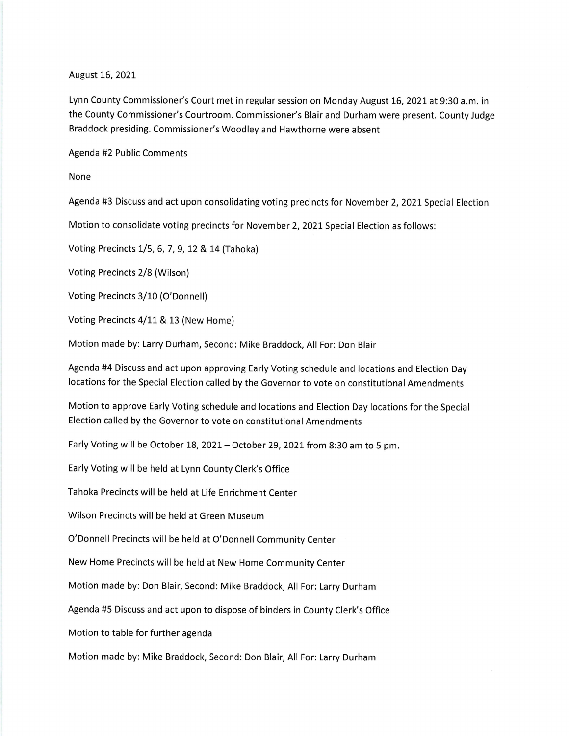## August 16,202L

Lynn County Commissioner's Court met in regular session on Monday August 16,2021at 9:30 a.m. in the County Commissioner's Courtroom. Commissioner's Blair and Durham were present. County Judge Braddock presiding. Commissioner's Woodley and Hawthorne were absent

Agenda #2 Public Comments

None

Agenda #3 Discuss and act upon consolidating voting precincts for November 2, 2021 Special Election

Motion to consolidate voting precincts for November 2, 2021 Special Election as follows:

Voting Precincts 1/5, 6, 7, 9, 12 & 14 (Tahoka)

Voting Precincts 2/8 (Wilson)

Voting Precincts 3/10 (O'Donnell)

Voting Precincts 4/11 & 13 (New Home)

Motion made by: Larry Durham, Second: Mike Braddock, All For: Don Blair

Agenda #4 Discuss and act upon approving Early Voting schedule and locations and Election Day locations for the Special Election called by the Governor to vote on constitutional Amendments

Motion to approve Early Voting schedule and locations and Election Day locations for the Special Election called by the Governor to vote on constitutional Amendments

Early Voting will be October 18,2021- October 29,202t from 8:30 am to 5 pm.

Early Voting will be held at Lynn County Clerk's Office

Tahoka Precincts will be held at Life Enrichment Center

Wilson Precincts will be held at Green Museum

O'Donnell Precincts will be held at O'Donnell Community Center

New Home Precincts will be held at New Home Community Center

Motion made by: Don Blair, Second: Mike Braddock, All For: Larry Durham

Agenda #5 Discuss and act upon to dispose of binders in County Clerk's Office

Motion to table for further agenda

Motion made by: Mike Braddock, Second: Don Blair, All For: Larry Durham